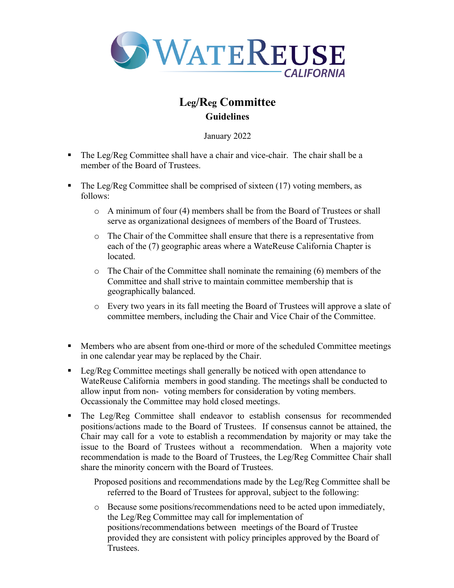

## **Leg/Reg Committee Guidelines**

January 2022

- The Leg/Reg Committee shall have a chair and vice-chair. The chair shall be a member of the Board of Trustees.
- The Leg/Reg Committee shall be comprised of sixteen (17) voting members, as follows:
	- o A minimum of four (4) members shall be from the Board of Trustees or shall serve as organizational designees of members of the Board of Trustees.
	- o The Chair of the Committee shall ensure that there is a representative from each of the (7) geographic areas where a WateReuse California Chapter is located.
	- $\circ$  The Chair of the Committee shall nominate the remaining (6) members of the Committee and shall strive to maintain committee membership that is geographically balanced.
	- o Every two years in its fall meeting the Board of Trustees will approve a slate of committee members, including the Chair and Vice Chair of the Committee.
- Members who are absent from one-third or more of the scheduled Committee meetings in one calendar year may be replaced by the Chair.
- Leg/Reg Committee meetings shall generally be noticed with open attendance to WateReuse California members in good standing. The meetings shall be conducted to allow input from non- voting members for consideration by voting members. Occassionaly the Committee may hold closed meetings.
- § The Leg/Reg Committee shall endeavor to establish consensus for recommended positions/actions made to the Board of Trustees. If consensus cannot be attained, the Chair may call for a vote to establish a recommendation by majority or may take the issue to the Board of Trustees without a recommendation. When a majority vote recommendation is made to the Board of Trustees, the Leg/Reg Committee Chair shall share the minority concern with the Board of Trustees.

Proposed positions and recommendations made by the Leg/Reg Committee shall be referred to the Board of Trustees for approval, subject to the following:

o Because some positions/recommendations need to be acted upon immediately, the Leg/Reg Committee may call for implementation of positions/recommendations between meetings of the Board of Trustee provided they are consistent with policy principles approved by the Board of Trustees.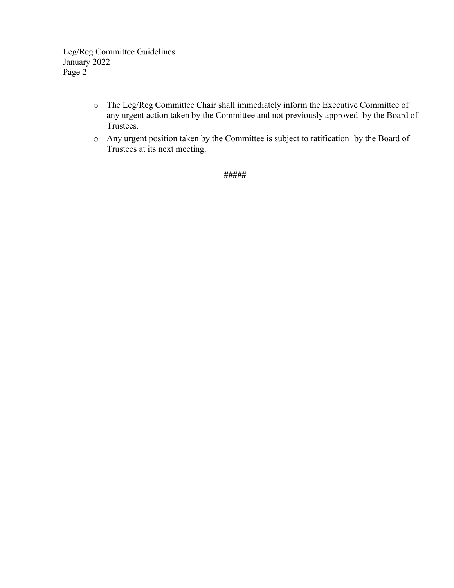Leg/Reg Committee Guidelines January 2022 Page 2

- o The Leg/Reg Committee Chair shall immediately inform the Executive Committee of any urgent action taken by the Committee and not previously approved by the Board of Trustees.
- o Any urgent position taken by the Committee is subject to ratification by the Board of Trustees at its next meeting.

**#####**